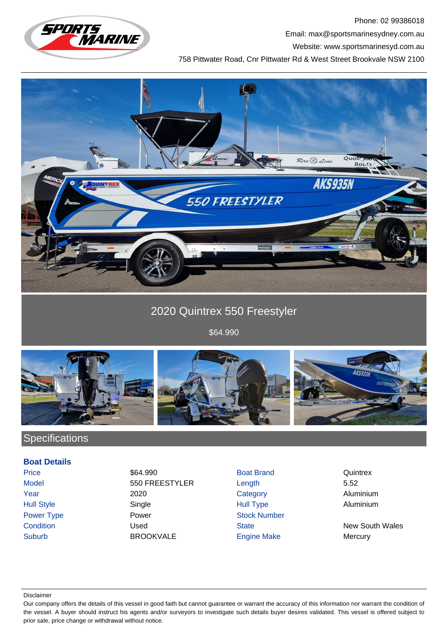

Phone: 02 99386018 Email: max@sportsmarinesydney.com.au

Website: www.sportsmarinesyd.com.au

758 Pittwater Road, Cnr Pittwater Rd & West Street Brookvale NSW 2100



# 2020 Quintrex 550 Freestyler

\$64.990



## **Specifications**

### **Boat Details**

Price 64.990 **S64.990** Boat Brand Quintrex Model 550 FREESTYLER Length 5.52 Year 2020 Category Aluminium Hull Style Single Hull Type Aluminium Power Type **Power Stock Number** Power **Power** Stock Number **Condition** Condition **Condition** Used State State New South Wales Suburb BROOKVALE Engine Make Mercury

#### Disclaimer

Our company offers the details of this vessel in good faith but cannot guarantee or warrant the accuracy of this information nor warrant the condition of the vessel. A buyer should instruct his agents and/or surveyors to investigate such details buyer desires validated. This vessel is offered subject to prior sale, price change or withdrawal without notice.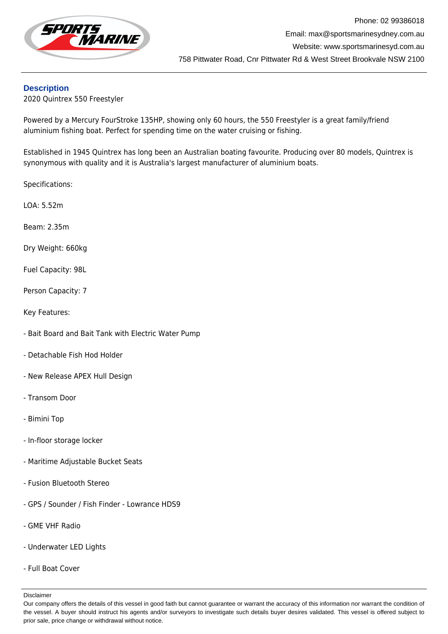

### **Description**

2020 Quintrex 550 Freestyler

Powered by a Mercury FourStroke 135HP, showing only 60 hours, the 550 Freestyler is a great family/friend aluminium fishing boat. Perfect for spending time on the water cruising or fishing.

Established in 1945 Quintrex has long been an Australian boating favourite. Producing over 80 models, Quintrex is synonymous with quality and it is Australia's largest manufacturer of aluminium boats.

Specifications:

LOA: 5.52m

Beam: 2.35m

Dry Weight: 660kg

Fuel Capacity: 98L

Person Capacity: 7

Key Features:

- Bait Board and Bait Tank with Electric Water Pump
- Detachable Fish Hod Holder
- New Release APEX Hull Design
- Transom Door
- Bimini Top
- In-floor storage locker
- Maritime Adjustable Bucket Seats
- Fusion Bluetooth Stereo
- GPS / Sounder / Fish Finder Lowrance HDS9
- GME VHF Radio
- Underwater LED Lights
- Full Boat Cover

Disclaimer

Our company offers the details of this vessel in good faith but cannot guarantee or warrant the accuracy of this information nor warrant the condition of the vessel. A buyer should instruct his agents and/or surveyors to investigate such details buyer desires validated. This vessel is offered subject to prior sale, price change or withdrawal without notice.